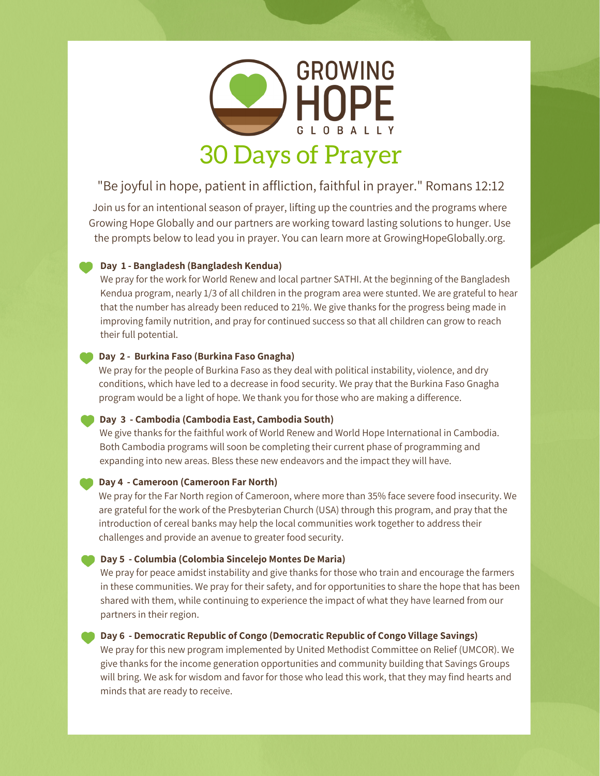

# "Be joyful in hope, patient in affliction, faithful in prayer." Romans 12:12

Join us for an intentional season of prayer, lifting up the countries and the programs where Growing Hope Globally and our partners are working toward lasting solutions to hunger. Use the prompts below to lead you in prayer. You can learn more at GrowingHopeGlobally.org.

### **Day 1 - Bangladesh (Bangladesh Kendua)**

We pray for the work for World Renew and local partner SATHI. At the beginning of the Bangladesh Kendua program, nearly 1/3 of all children in the program area were stunted. We are grateful to hear that the number has already been reduced to 21%. We give thanks for the progress being made in improving family nutrition, and pray for continued success so that all children can grow to reach their full potential.

### **Day 2 - Burkina Faso (Burkina Faso Gnagha)**

We pray for the people of Burkina Faso as they deal with political instability, violence, and dry conditions, which have led to a decrease in food security. We pray that the Burkina Faso Gnagha program would be a light of hope. We thank you for those who are making a difference.

#### **Day 3 - Cambodia (Cambodia East, Cambodia South)**

We give thanks for the faithful work of World Renew and World Hope International in Cambodia. Both Cambodia programs will soon be completing their current phase of programming and expanding into new areas. Bless these new endeavors and the impact they will have.

#### **Day 4 - Cameroon (Cameroon Far North)**

We pray for the Far North region of Cameroon, where more than 35% face severe food insecurity. We are grateful for the work of the Presbyterian Church (USA) through this program, and pray that the introduction of cereal banks may help the local communities work together to address their challenges and provide an avenue to greater food security.

#### **Day 5 - Columbia (Colombia Sincelejo Montes De Maria)**

We pray for peace amidst instability and give thanks for those who train and encourage the farmers in these communities. We pray for their safety, and for opportunities to share the hope that has been shared with them, while continuing to experience the impact of what they have learned from our partners in their region.

#### **Day 6 - Democratic Republic of Congo (Democratic Republic of Congo Village Savings)**

We pray for this new program implemented by United Methodist Committee on Relief (UMCOR). We give thanks for the income generation opportunities and community building that Savings Groups will bring. We ask for wisdom and favor for those who lead this work, that they may find hearts and minds that are ready to receive.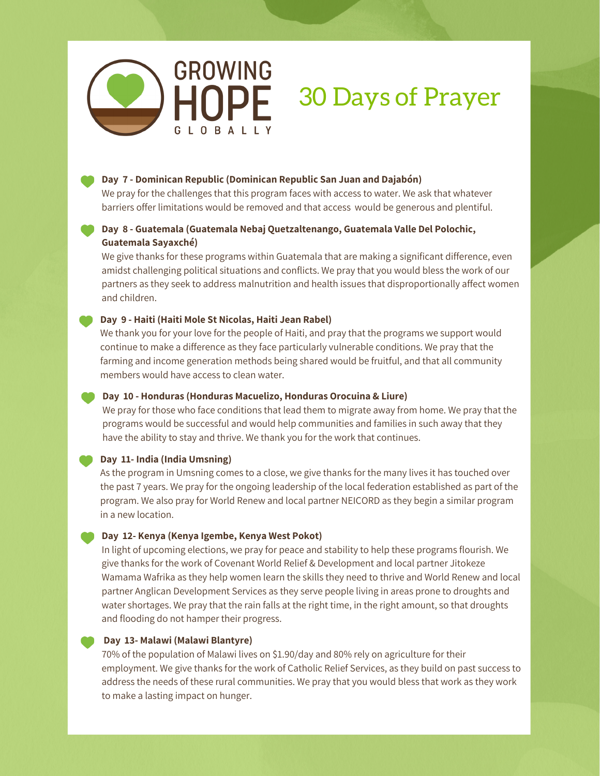

#### **Day 7 - Dominican Republic (Dominican Republic San Juan and Dajabón)**

We pray for the challenges that this program faces with access to water. We ask that whatever barriers offer limitations would be removed and that access would be generous and plentiful.

# **Day 8 - Guatemala (Guatemala Nebaj Quetzaltenango, Guatemala Valle Del Polochic, Guatemala Sayaxché)**

We give thanks for these programs within Guatemala that are making a significant difference, even amidst challenging political situations and conflicts. We pray that you would bless the work of our partners as they seek to address malnutrition and health issues that disproportionally affect women and children.

### **Day 9 - Haiti (Haiti Mole St Nicolas, Haiti Jean Rabel)**

We thank you for your love for the people of Haiti, and pray that the programs we support would continue to make a difference as they face particularly vulnerable conditions. We pray that the farming and income generation methods being shared would be fruitful, and that all community members would have access to clean water.

#### **Day 10 - Honduras (Honduras Macuelizo, Honduras Orocuina & Liure)**

We pray for those who face conditions that lead them to migrate away from home. We pray that the programs would be successful and would help communities and families in such away that they have the ability to stay and thrive. We thank you for the work that continues.

#### **Day 11- India (India Umsning)**

As the program in Umsning comes to a close, we give thanks for the many lives it has touched over the past 7 years. We pray for the ongoing leadership of the local federation established as part of the program. We also pray for World Renew and local partner NEICORD as they begin a similar program in a new location.

# **Day 12- Kenya (Kenya Igembe, Kenya West Pokot)**

In light of upcoming elections, we pray for peace and stability to help these programs flourish. We give thanks for the work of Covenant World Relief & Development and local partner Jitokeze Wamama Wafrika as they help women learn the skills they need to thrive and World Renew and local partner Anglican Development Services as they serve people living in areas prone to droughts and water shortages. We pray that the rain falls at the right time, in the right amount, so that droughts and flooding do not hamper their progress.

#### **Day 13- Malawi (Malawi Blantyre)**

70% of the population of Malawi lives on \$1.90/day and 80% rely on agriculture for their employment. We give thanks for the work of Catholic Relief Services, as they build on past success to address the needs of these rural communities. We pray that you would bless that work as they work to make a lasting impact on hunger.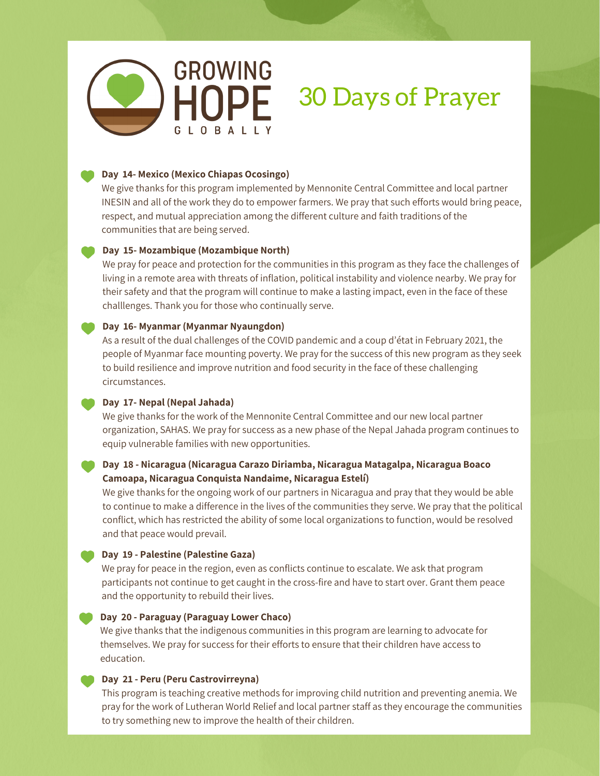

#### **Day 14- Mexico (Mexico Chiapas Ocosingo)**

We give thanks for this program implemented by Mennonite Central Committee and local partner INESIN and all of the work they do to empower farmers. We pray that such efforts would bring peace, respect, and mutual appreciation among the different culture and faith traditions of the communities that are being served.

#### **Day 15- Mozambique (Mozambique North)**

We pray for peace and protection for the communities in this program as they face the challenges of living in a remote area with threats of inflation, political instability and violence nearby. We pray for their safety and that the program will continue to make a lasting impact, even in the face of these challlenges. Thank you for those who continually serve.

#### **Day 16- Myanmar (Myanmar Nyaungdon)**

As a result of the dual challenges of the COVID pandemic and a coup d'état in February 2021, the people of Myanmar face mounting poverty. We pray for the success of this new program as they seek to build resilience and improve nutrition and food security in the face of these challenging circumstances.

#### **Day 17- Nepal (Nepal Jahada)**

We give thanks for the work of the Mennonite Central Committee and our new local partner organization, SAHAS. We pray for success as a new phase of the Nepal Jahada program continues to equip vulnerable families with new opportunities.

# **Day 18 - Nicaragua (Nicaragua Carazo Diriamba, Nicaragua Matagalpa, Nicaragua Boaco Camoapa, Nicaragua Conquista Nandaime, Nicaragua Estelí)**

We give thanks for the ongoing work of our partners in Nicaragua and pray that they would be able to continue to make a difference in the lives of the communities they serve. We pray that the political conflict, which has restricted the ability of some local organizations to function, would be resolved and that peace would prevail.

#### **Day 19 - Palestine (Palestine Gaza)**

We pray for peace in the region, even as conflicts continue to escalate. We ask that program participants not continue to get caught in the cross-fire and have to start over. Grant them peace and the opportunity to rebuild their lives.

#### **Day 20 - Paraguay (Paraguay Lower Chaco)**

We give thanks that the indigenous communities in this program are learning to advocate for themselves. We pray for success for their efforts to ensure that their children have access to education.

#### **Day 21 - Peru (Peru Castrovirreyna)**

This program is teaching creative methods for improving child nutrition and preventing anemia. We pray for the work of Lutheran World Relief and local partner staff as they encourage the communities to try something new to improve the health of their children.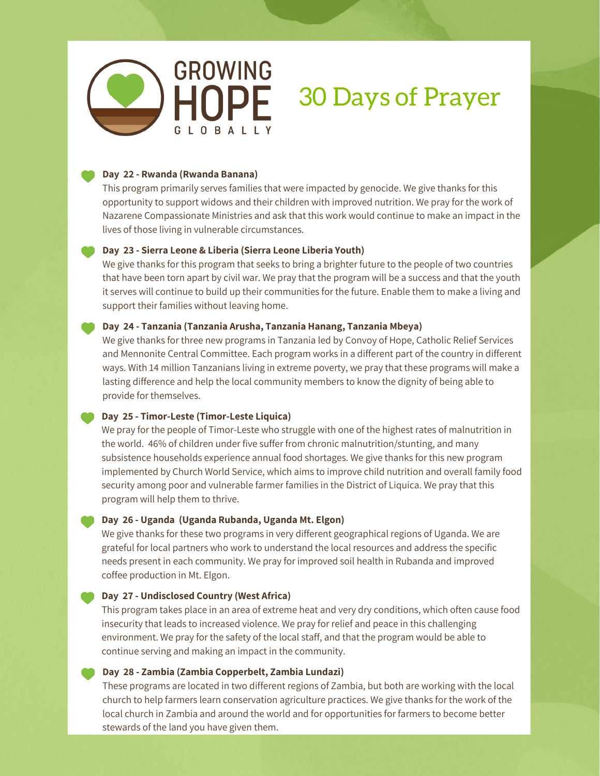

#### **Day 22 - Rwanda (Rwanda Banana)**

This program primarily serves families that were impacted by genocide. We give thanks for this opportunity to support widows and their children with improved nutrition. We pray for the work of Nazarene Compassionate Ministries and ask that this work would continue to make an impact in the lives of those living in vulnerable circumstances.

#### **Day 23 - Sierra Leone & Liberia (Sierra Leone Liberia Youth)**

We give thanks for this program that seeks to bring a brighter future to the people of two countries that have been torn apart by civil war. We pray that the program will be a success and that the youth it serves will continue to build up their communities for the future. Enable them to make a living and support their families without leaving home.

#### **Day 24 - Tanzania (Tanzania Arusha, Tanzania Hanang, Tanzania Mbeya)**

We give thanks for three new programs in Tanzania led by Convoy of Hope, Catholic Relief Services and Mennonite Central Committee. Each program works in a different part of the country in different ways. With 14 million Tanzanians living in extreme poverty, we pray that these programs will make a lasting difference and help the local community members to know the dignity of being able to provide for themselves.

#### **Day 25 - Timor-Leste (Timor-Leste Liquica)**

We pray for the people of Timor-Leste who struggle with one of the highest rates of malnutrition in the world. 46% of children under five suffer from chronic malnutrition/stunting, and many subsistence households experience annual food shortages. We give thanks for this new program implemented by Church World Service, which aims to improve child nutrition and overall family food security among poor and vulnerable farmer families in the District of Liquica. We pray that this program will help them to thrive.

#### **Day 26 - Uganda (Uganda Rubanda, Uganda Mt. Elgon)**

We give thanks for these two programs in very different geographical regions of Uganda. We are grateful for local partners who work to understand the local resources and address the specific needs present in each community. We pray for improved soil health in Rubanda and improved coffee production in Mt. Elgon.

#### **Day 27 - Undisclosed Country (West Africa)**

This program takes place in an area of extreme heat and very dry conditions, which often cause food insecurity that leads to increased violence. We pray for relief and peace in this challenging environment. We pray for the safety of the local staff, and that the program would be able to continue serving and making an impact in the community.

#### **Day 28 - Zambia (Zambia Copperbelt, Zambia Lundazi)**

These programs are located in two different regions of Zambia, but both are working with the local church to help farmers learn conservation agriculture practices. We give thanks for the work of the local church in Zambia and around the world and for opportunities for farmers to become better stewards of the land you have given them.